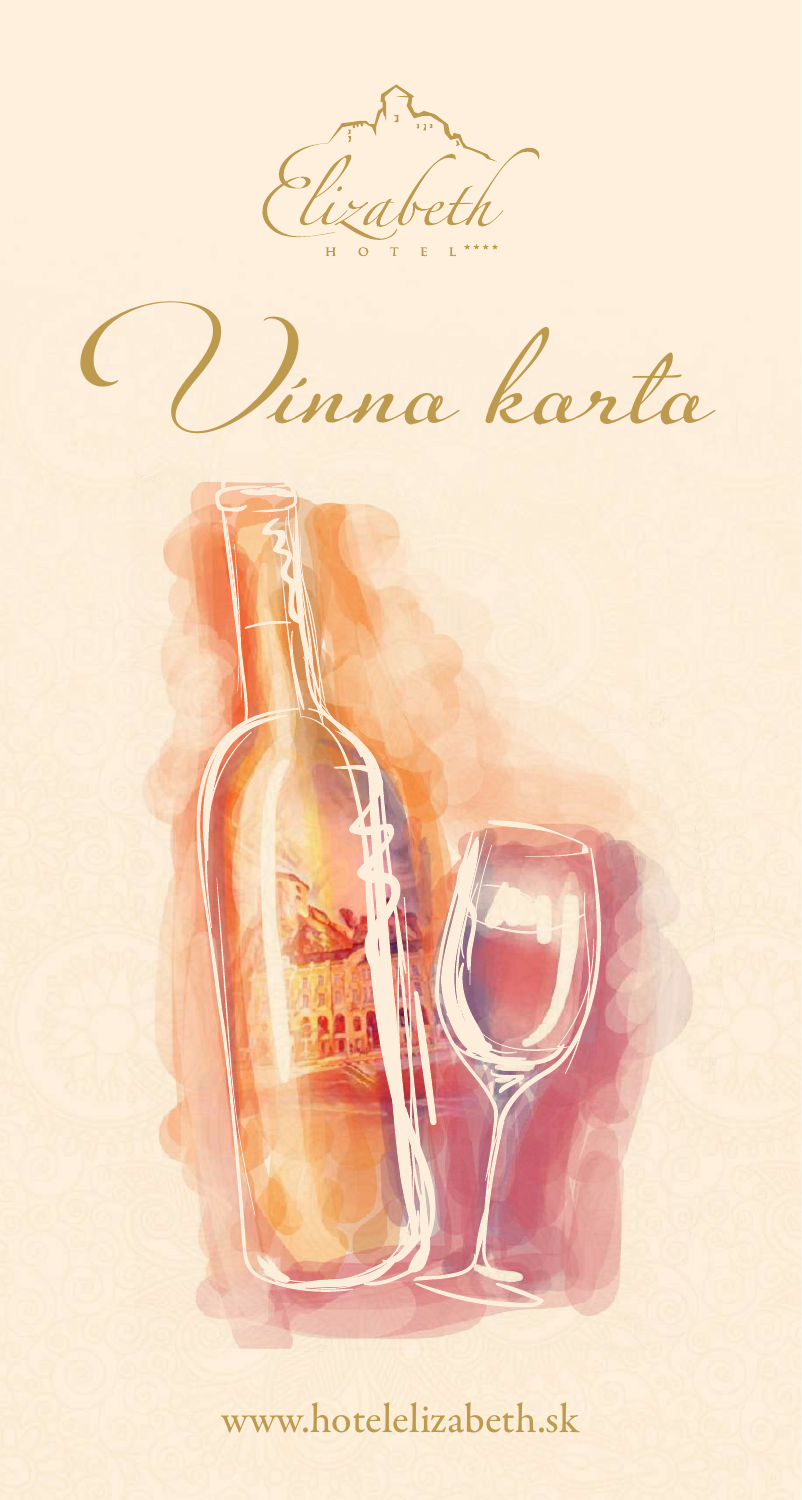

Vínna karta



www.hotelelizabeth.sk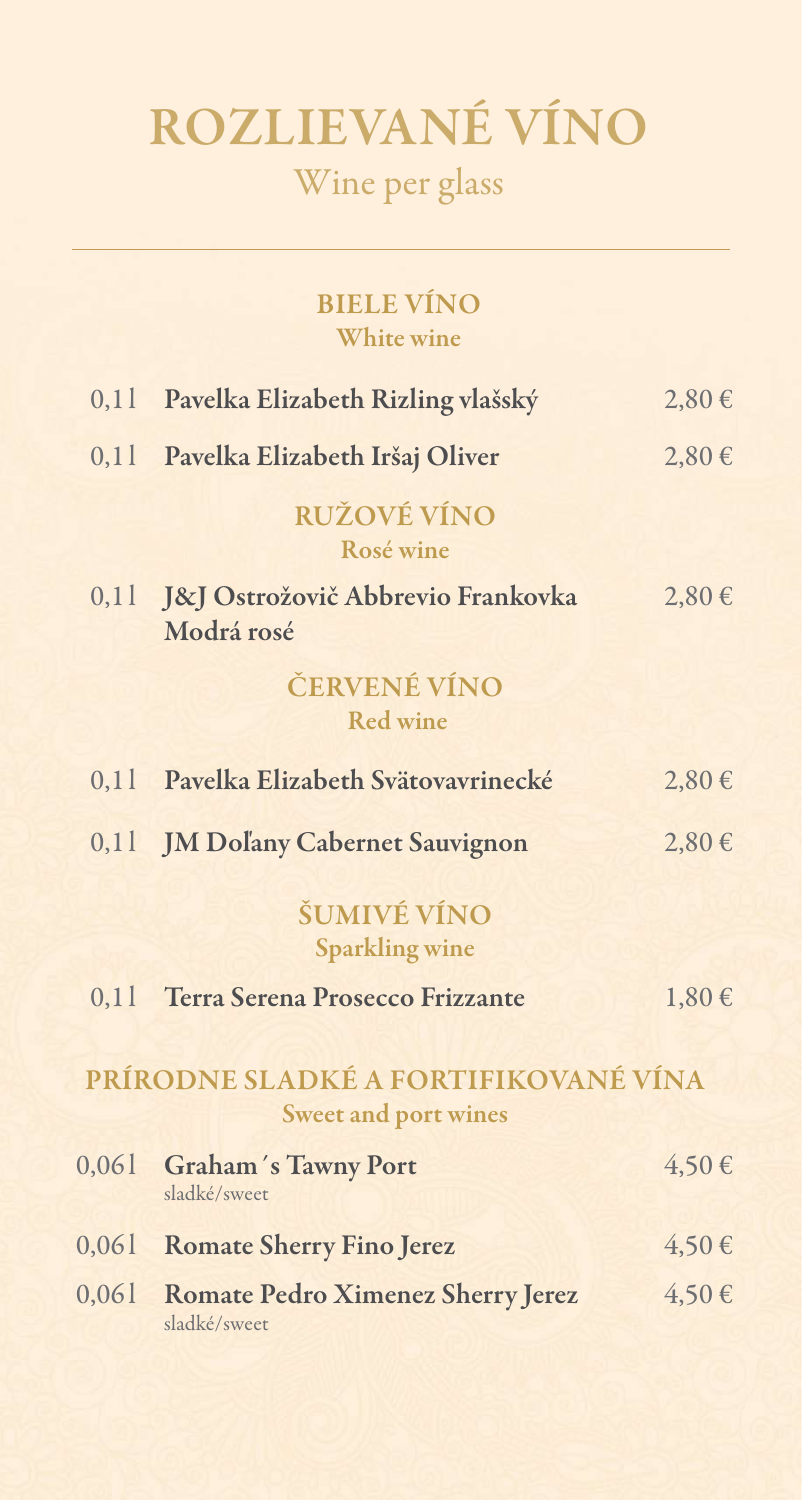## Rozlievané víno Wine per glass

| <b>BIELE VINO</b> |  |
|-------------------|--|
| <b>White wine</b> |  |

|       | 0,11 Pavelka Elizabeth Rizling vlašský                              | $2,80 \in$ |
|-------|---------------------------------------------------------------------|------------|
|       | 0,11 Pavelka Elizabeth Iršaj Oliver                                 | $2,80 \in$ |
|       | <b>RUŽOVÉ VÍNO</b><br>Rosé wine                                     |            |
|       | 0,11 J&J Ostrožovič Abbrevio Frankovka<br>Modrá rosé                | $2,80 \in$ |
|       | ČERVENÉ VÍNO<br><b>Red wine</b>                                     |            |
|       | 0,11 Pavelka Elizabeth Svätovavrinecké                              | $2,80 \in$ |
|       | 0,11 JM Doľany Cabernet Sauvignon                                   | $2,80 \in$ |
|       | ŠUMIVÉ VÍNO<br><b>Sparkling wine</b>                                |            |
|       | 0,11 Terra Serena Prosecco Frizzante                                | $1,80 \in$ |
|       | PRÍRODNE SLADKÉ A FORTIFIKOVANÉ VÍNA<br><b>Sweet and port wines</b> |            |
| 0,061 | <b>Graham's Tawny Port</b><br>sladké/sweet                          | $4,50 \in$ |
| 0,061 | <b>Romate Sherry Fino Jerez</b>                                     | $4,50 \in$ |
| 0,061 | <b>Romate Pedro Ximenez Sherry Jerez</b><br>sladké/sweet            | 4,50€      |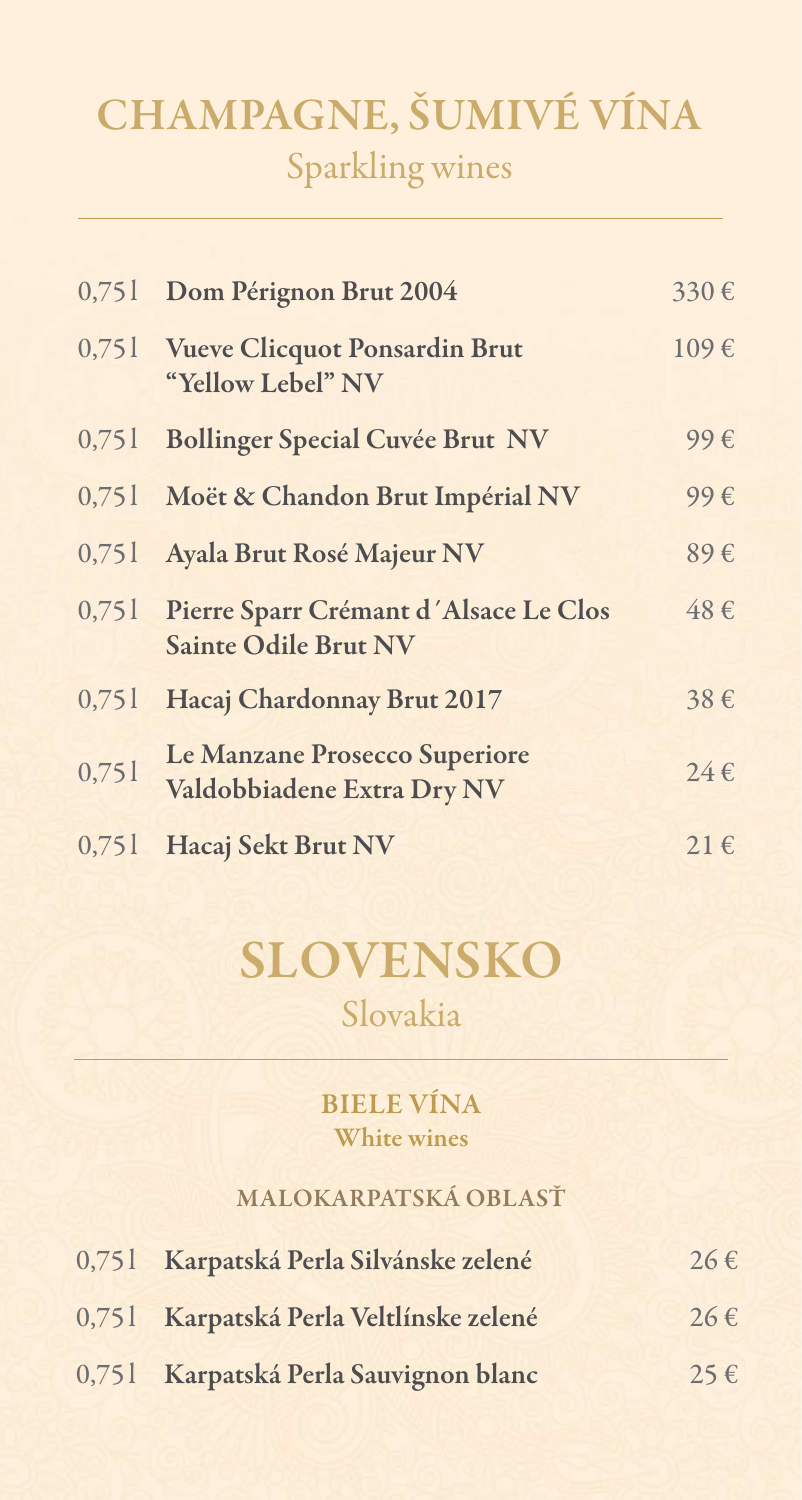## CHAMPAGNE, ŠUMIVÉ VÍNA Sparkling wines

| 0,751 | Dom Pérignon Brut 2004                                                     | 330€     |
|-------|----------------------------------------------------------------------------|----------|
|       | 0,751 Vueve Clicquot Ponsardin Brut<br>"Yellow Lebel" NV                   | 109€     |
| 0,751 | <b>Bollinger Special Cuvée Brut NV</b>                                     | 99€      |
|       | 0,751 Moët & Chandon Brut Impérial NV                                      | 99€      |
| 0,751 | Ayala Brut Rosé Majeur NV                                                  | 89€      |
|       | 0,751 Pierre Sparr Crémant d'Alsace Le Clos<br><b>Sainte Odile Brut NV</b> | 48€      |
| 0,751 | Hacaj Chardonnay Brut 2017                                                 | 38€      |
| 0,751 | Le Manzane Prosecco Superiore<br>Valdobbiadene Extra Dry NV                | $24 \in$ |
| 0,751 | Hacaj Sekt Brut NV                                                         | $21 \in$ |

### Slovensko Slovakia

#### Biele vína White wines

#### Malokarpatská oblasť

| 0,751 Karpatská Perla Silvánske zelené  | $26 \in$ |
|-----------------------------------------|----------|
| 0,751 Karpatská Perla Veltlínske zelené | $26 \in$ |
| 0,751 Karpatská Perla Sauvignon blanc   | $25 \in$ |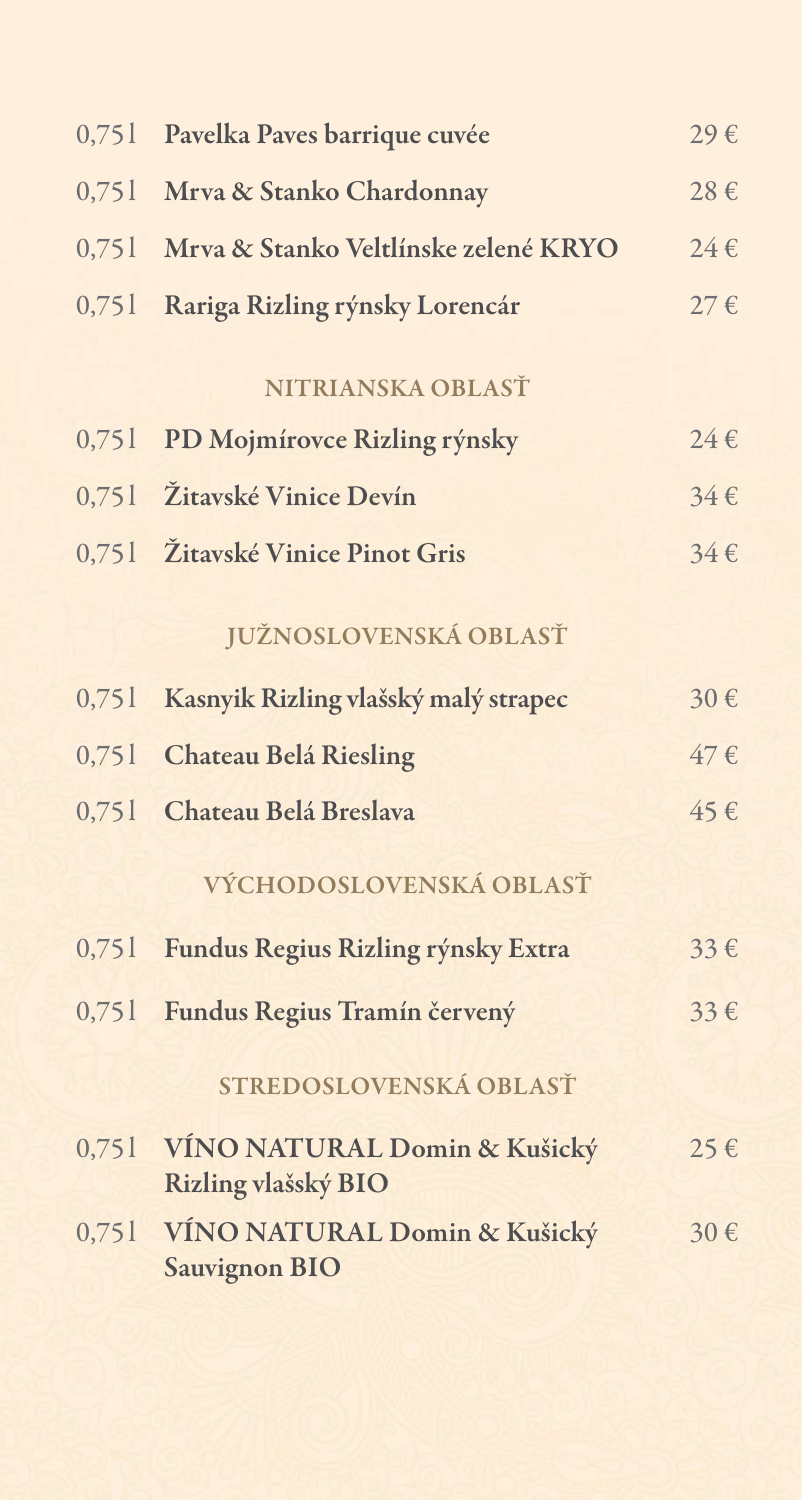| 0,751 | Pavelka Paves barrique cuvée                               | 29€      |
|-------|------------------------------------------------------------|----------|
| 0,751 | Mrva & Stanko Chardonnay                                   | 28€      |
| 0,751 | Mrva & Stanko Veltlínske zelené KRYO                       | $24 \in$ |
| 0,751 | Rariga Rizling rýnsky Lorencár                             | $27 \in$ |
|       | NITRIANSKA OBLASŤ                                          |          |
| 0,751 | PD Mojmírovce Rizling rýnsky                               | $24 \in$ |
|       | 0,751 Žitavské Vinice Devín                                | $34 \in$ |
|       | 0,751 Žitavské Vinice Pinot Gris                           | $34 \in$ |
|       | JUŽNOSLOVENSKÁ OBLASŤ                                      |          |
| 0,751 | Kasnyik Rizling vlašský malý strapec                       | 30€      |
| 0,751 | <b>Chateau Belá Riesling</b>                               | $47 \in$ |
| 0,751 | Chateau Belá Breslava                                      | $45 \in$ |
|       | VÝCHODOSLOVENSKÁ OBLASŤ                                    |          |
|       | 0,751 Fundus Regius Rizling rýnsky Extra                   | $33 \in$ |
| 0,751 | Fundus Regius Tramín červený                               | $33 \in$ |
|       | STREDOSLOVENSKÁ OBLASŤ                                     |          |
|       | 0,751 VÍNO NATURAL Domin & Kušický<br>Rizling vlašský BIO  | $25 \in$ |
|       | 0,751 VÍNO NATURAL Domin & Kušický<br><b>Sauvignon BIO</b> | 30€      |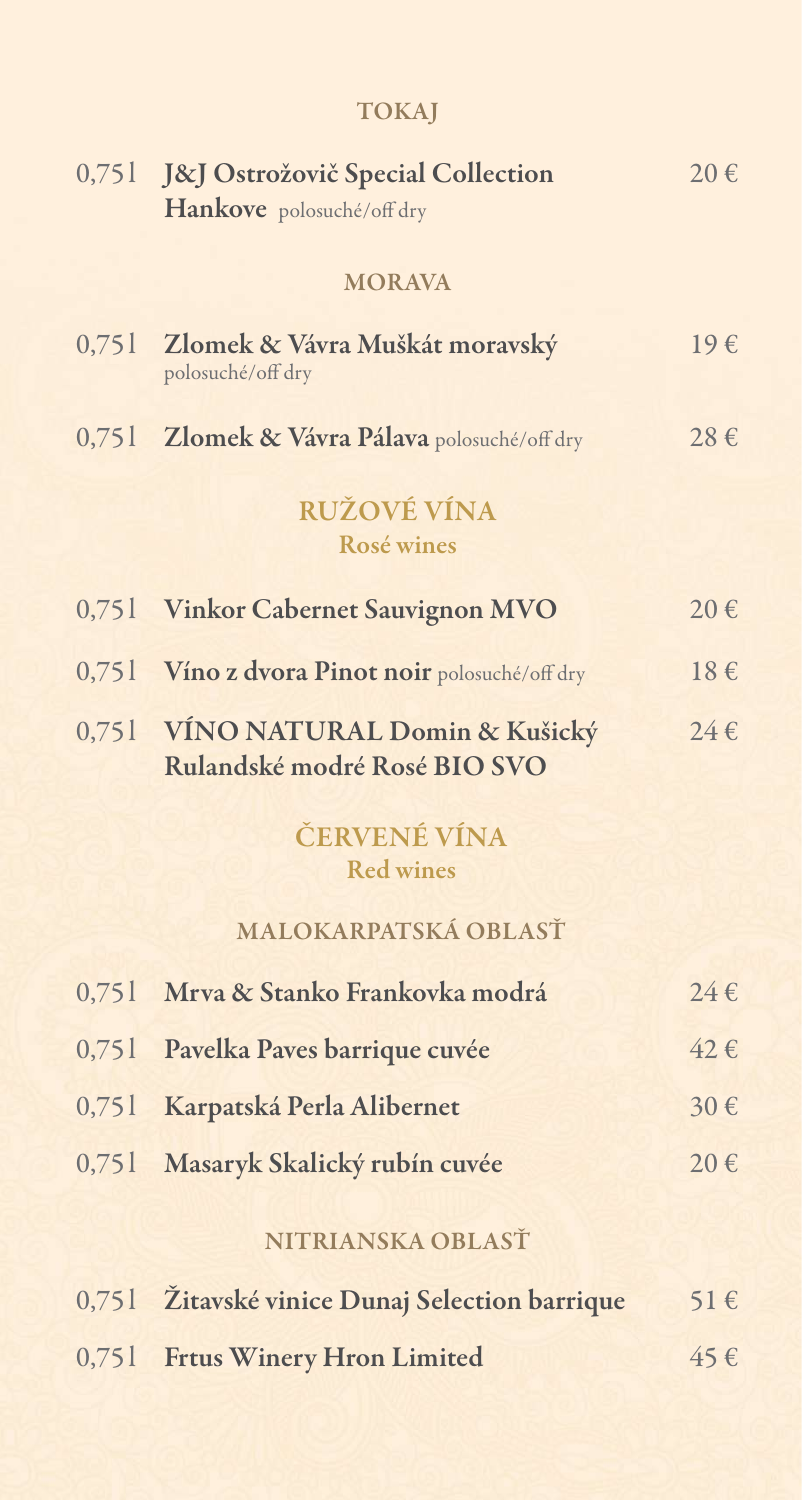|       | 0,751 J&J Ostrožovič Special Collection                            | $20 \in$     |
|-------|--------------------------------------------------------------------|--------------|
|       | Hankove polosuché/off dry                                          |              |
|       | <b>MORAVA</b>                                                      |              |
|       | 0,751 Zlomek & Vávra Muškát moravský<br>polosuché/off dry          | $19\epsilon$ |
|       | 0,751 Zlomek & Vávra Pálava polosuché/off dry                      | $28 \in$     |
|       | <b>RUŽOVÉ VÍNA</b><br>Rosé wines                                   |              |
|       | 0,751 Vinkor Cabernet Sauvignon MVO                                | $20 \in$     |
|       | 0,751 Víno z dvora Pinot noir polosuché/off dry                    | $18 \in$     |
|       | 0,751 VINO NATURAL Domin & Kušický<br>Rulandské modré Rosé BIO SVO | $24 \in$     |
|       | ČERVENÉ VÍNA<br><b>Red wines</b>                                   |              |
|       | MALOKARPATSKÁ OBLASŤ                                               |              |
| 0,751 | Mrva & Stanko Frankovka modrá                                      | $24 \in$     |
|       | 0,751 Pavelka Paves barrique cuvée                                 | $42 \in$     |
| 0,751 | Karpatská Perla Alibernet                                          | 30€          |
| 0,751 | Masaryk Skalický rubín cuvée                                       | 20€          |
|       | NITRIANSKA OBLASŤ                                                  |              |
|       | 0,751 Žitavské vinice Dunaj Selection barrique                     | $51 \in$     |

0,75 l Frtus Winery Hron Limited 45  $\epsilon$ 

#### TOKAJ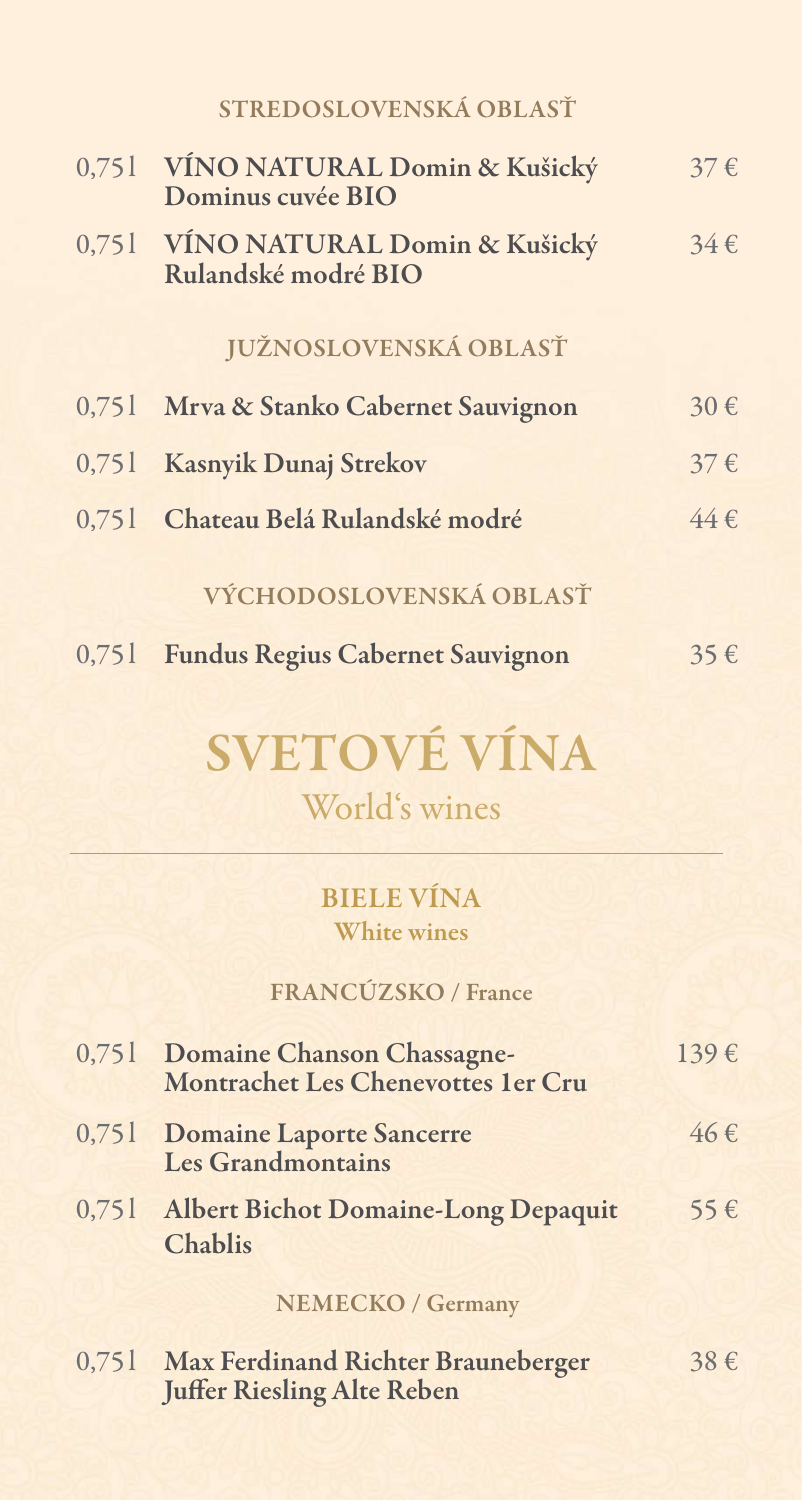|       | STREDOSLOVENSKÁ OBLASŤ                                    |          |
|-------|-----------------------------------------------------------|----------|
|       | 0,751 VÍNO NATURAL Domin & Kušický<br>Dominus cuvée BIO   | $37 \in$ |
|       | 0,751 VÍNO NATURAL Domin & Kušický<br>Rulandské modré BIO | $34 \in$ |
|       | <b>JUŽNOSLOVENSKÁ OBLASŤ</b>                              |          |
|       | 0,751 Mrva & Stanko Cabernet Sauvignon                    | 30€      |
|       | 0,751 Kasnyik Dunaj Strekov                               | $37 \in$ |
| 0,751 | Chateau Belá Rulandské modré                              | $44 \in$ |
|       | VÝCHODOSLOVENSKÁ OBLASŤ                                   |          |
| 0,751 | <b>Fundus Regius Cabernet Sauvignon</b>                   | 35€      |

# SVETOVÉ VÍNA

World's wines

Biele vína White wines

#### FrANCÚZSKO / France

| 0,751 Domaine Chanson Chassagne-<br>Montrachet Les Chenevottes 1er Cru | $139 \epsilon$ |
|------------------------------------------------------------------------|----------------|
| 0,751 Domaine Laporte Sancerre<br>Les Grandmontains                    | $46 \in$       |
| 0,751 Albert Bichot Domaine-Long Depaquit<br><b>Chablis</b>            | 55€            |
| <b>NEMECKO / Germany</b>                                               |                |
|                                                                        |                |

| 0,751 Max Ferdinand Richter Brauneberger | $38 \in$ |
|------------------------------------------|----------|
| <b>Juffer Riesling Alte Reben</b>        |          |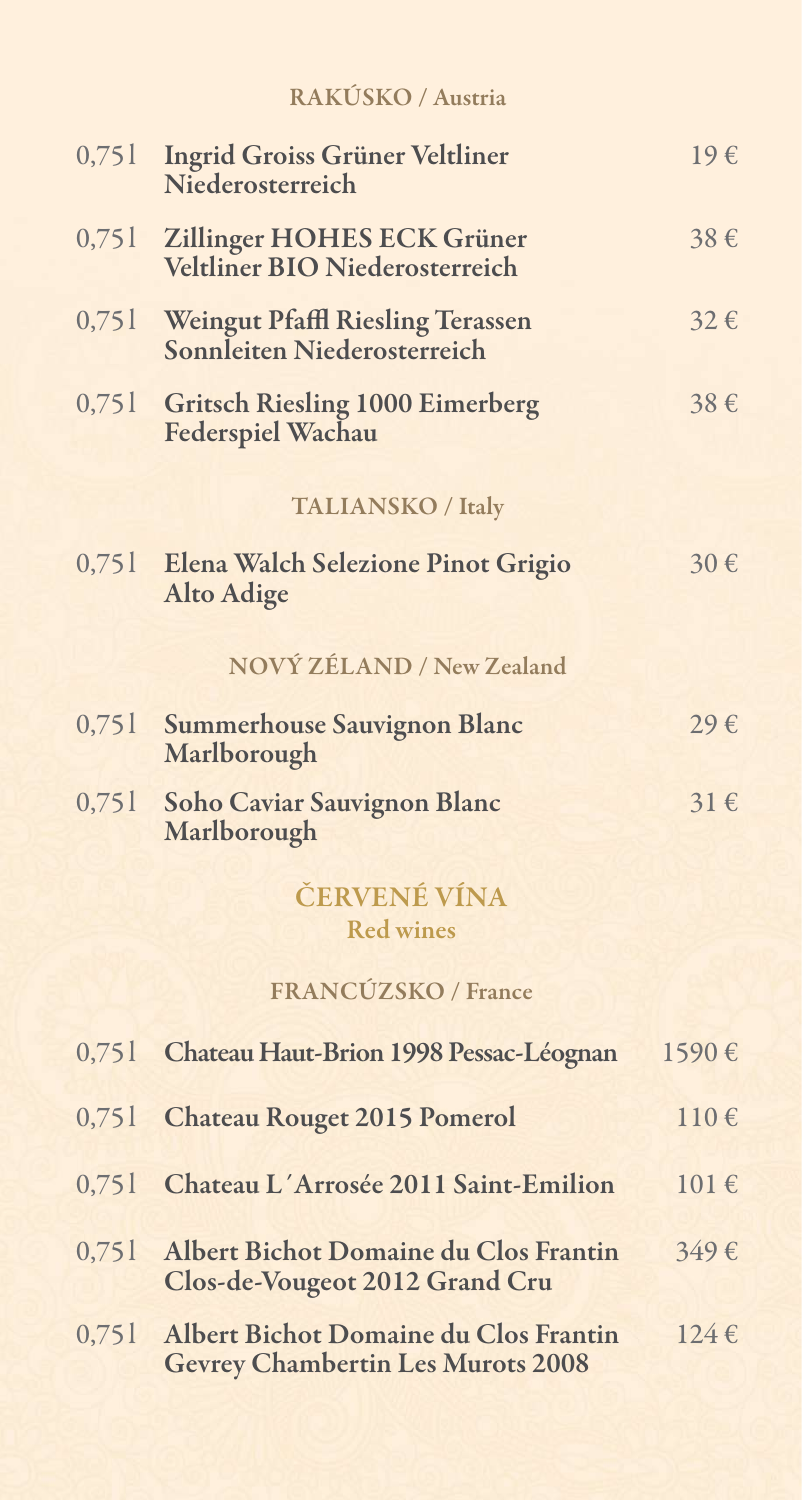|  | RAKÚSKO / Austria |
|--|-------------------|
|  |                   |

| 0,751 | <b>Ingrid Groiss Grüner Veltliner</b><br>Niederosterreich                         | $19\epsilon$ |
|-------|-----------------------------------------------------------------------------------|--------------|
| 0,751 | Zillinger HOHES ECK Grüner<br>Veltliner BIO Niederosterreich                      | 38€          |
| 0,751 | <b>Weingut Pfaffl Riesling Terassen</b><br>Sonnleiten Niederosterreich            | $32 \in$     |
| 0,751 | <b>Gritsch Riesling 1000 Eimerberg</b><br><b>Federspiel Wachau</b>                | 38€          |
|       | <b>TALIANSKO / Italy</b>                                                          |              |
| 0,751 | Elena Walch Selezione Pinot Grigio<br><b>Alto Adige</b>                           | 30€          |
|       | NOVÝ ZÉLAND / New Zealand                                                         |              |
| 0,751 | <b>Summerhouse Sauvignon Blanc</b><br>Marlborough                                 | 29€          |
| 0,751 | <b>Soho Caviar Sauvignon Blanc</b><br>Marlborough                                 | $31 \in$     |
|       | ČERVENÉ VÍNA<br><b>Red wines</b>                                                  |              |
|       | FRANCÚZSKO / France                                                               |              |
| 0,751 | Chateau Haut-Brion 1998 Pessac-Léognan                                            | 1590€        |
| 0,751 | <b>Chateau Rouget 2015 Pomerol</b>                                                | 110€         |
| 0,751 | Chateau L'Arrosée 2011 Saint-Emilion                                              | $101 \in$    |
| 0,751 | Albert Bichot Domaine du Clos Frantin<br>Clos-de-Vougeot 2012 Grand Cru           | 349€         |
| 0,751 | Albert Bichot Domaine du Clos Frantin<br><b>Gevrey Chambertin Les Murots 2008</b> | $124 \in$    |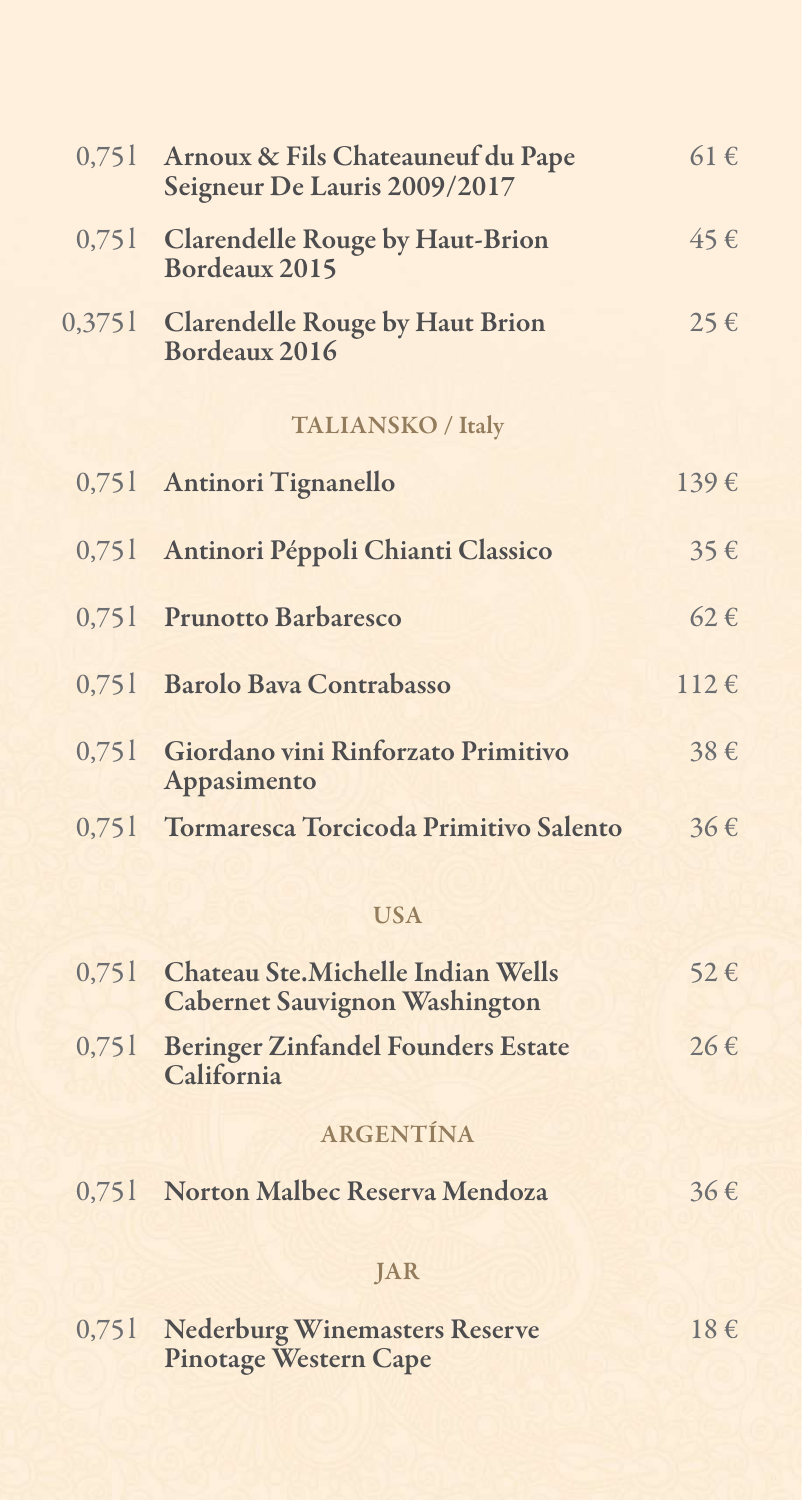| 0,751 | Arnoux & Fils Chateauneuf du Pape<br>Seigneur De Lauris 2009/2017                 | $61 \in$           |
|-------|-----------------------------------------------------------------------------------|--------------------|
|       | 0,751 Clarendelle Rouge by Haut-Brion<br>Bordeaux 2015                            | $45 \in$           |
|       | 0,3751 Clarendelle Rouge by Haut Brion<br>Bordeaux 2016                           | $25 \in$           |
|       | <b>TALIANSKO / Italy</b>                                                          |                    |
| 0,751 | <b>Antinori Tignanello</b>                                                        | $139 \text{ } \in$ |
| 0,751 | Antinori Péppoli Chianti Classico                                                 | 35€                |
|       | 0,751 Prunotto Barbaresco                                                         | $62 \in$           |
| 0,751 | <b>Barolo Bava Contrabasso</b>                                                    | $112 \epsilon$     |
| 0,751 | Giordano vini Rinforzato Primitivo<br>Appasimento                                 | 38€                |
| 0,751 | Tormaresca Torcicoda Primitivo Salento                                            | $36 \in$           |
|       | <b>USA</b>                                                                        |                    |
| 0,751 | <b>Chateau Ste. Michelle Indian Wells</b><br><b>Cabernet Sauvignon Washington</b> | $52 \in$           |
| 0,751 | <b>Beringer Zinfandel Founders Estate</b><br>California                           | $26 \in$           |
|       | ARGENTÍNA                                                                         |                    |
|       | 0,751 Norton Malbec Reserva Mendoza                                               | $36 \in$           |
|       | <b>JAR</b>                                                                        |                    |
|       | 0,751 Nederburg Winemasters Reserve<br><b>Pinotage Western Cape</b>               | $18 \in$           |